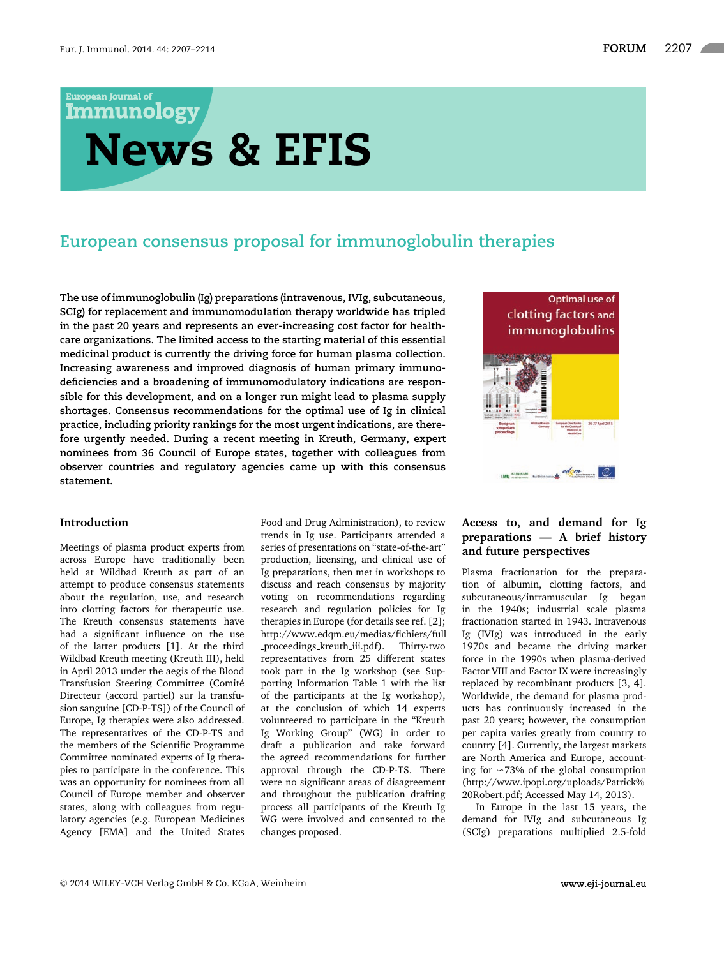**European Journal of** 

# **Immunology News & EFIS**

# **European consensus proposal for immunoglobulin therapies**

**The use of immunoglobulin (Ig) preparations (intravenous, IVIg, subcutaneous, SCIg) for replacement and immunomodulation therapy worldwide has tripled in the past 20 years and represents an ever-increasing cost factor for healthcare organizations. The limited access to the starting material of this essential medicinal product is currently the driving force for human plasma collection. Increasing awareness and improved diagnosis of human primary immunodeficiencies and a broadening of immunomodulatory indications are responsible for this development, and on a longer run might lead to plasma supply shortages. Consensus recommendations for the optimal use of Ig in clinical practice, including priority rankings for the most urgent indications, are therefore urgently needed. During a recent meeting in Kreuth, Germany, expert nominees from 36 Council of Europe states, together with colleagues from observer countries and regulatory agencies came up with this consensus statement.**



#### **Introduction**

Meetings of plasma product experts from across Europe have traditionally been held at Wildbad Kreuth as part of an attempt to produce consensus statements about the regulation, use, and research into clotting factors for therapeutic use. The Kreuth consensus statements have had a significant influence on the use of the latter products [1]. At the third Wildbad Kreuth meeting (Kreuth III), held in April 2013 under the aegis of the Blood Transfusion Steering Committee (Comité Directeur (accord partiel) sur la transfusion sanguine [CD-P-TS]) of the Council of Europe, Ig therapies were also addressed. The representatives of the CD-P-TS and the members of the Scientific Programme Committee nominated experts of Ig therapies to participate in the conference. This was an opportunity for nominees from all Council of Europe member and observer states, along with colleagues from regulatory agencies (e.g. European Medicines Agency [EMA] and the United States

Food and Drug Administration), to review trends in Ig use. Participants attended a series of presentations on "state-of-the-art" production, licensing, and clinical use of Ig preparations, then met in workshops to discuss and reach consensus by majority voting on recommendations regarding research and regulation policies for Ig therapies in Europe (for details see ref. [2]; http://www.edqm.eu/medias/fichiers/full proceedings kreuth iii.pdf). Thirty-two representatives from 25 different states took part in the Ig workshop (see Supporting Information Table 1 with the list of the participants at the Ig workshop), at the conclusion of which 14 experts volunteered to participate in the "Kreuth Ig Working Group" (WG) in order to draft a publication and take forward the agreed recommendations for further approval through the CD-P-TS. There were no significant areas of disagreement and throughout the publication drafting process all participants of the Kreuth Ig WG were involved and consented to the changes proposed.

# **Access to, and demand for Ig preparations — A brief history and future perspectives**

Plasma fractionation for the preparation of albumin, clotting factors, and subcutaneous/intramuscular Ig began in the 1940s; industrial scale plasma fractionation started in 1943. Intravenous Ig (IVIg) was introduced in the early 1970s and became the driving market force in the 1990s when plasma-derived Factor VIII and Factor IX were increasingly replaced by recombinant products [3, 4]. Worldwide, the demand for plasma products has continuously increased in the past 20 years; however, the consumption per capita varies greatly from country to country [4]. Currently, the largest markets are North America and Europe, accounting for  $~\sim$ 73% of the global consumption (http://www.ipopi.org/uploads/Patrick% 20Robert.pdf; Accessed May 14, 2013).

In Europe in the last 15 years, the demand for IVIg and subcutaneous Ig (SCIg) preparations multiplied 2.5-fold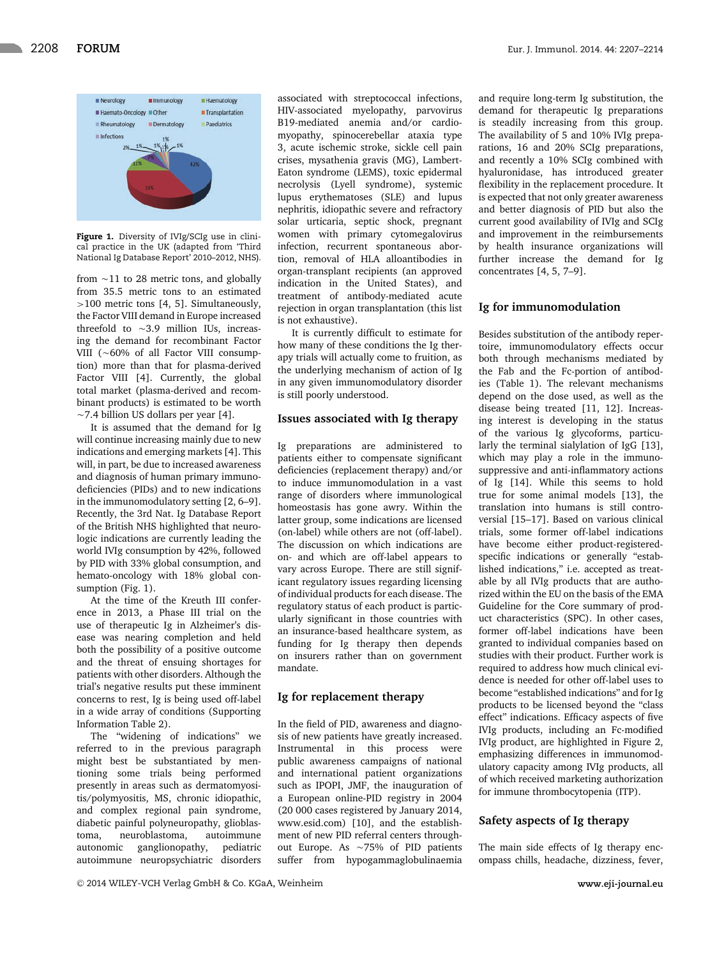

**Figure 1.** Diversity of IVIg/SCIg use in clinical practice in the UK (adapted from 'Third National Ig Database Report' 2010–2012, NHS).

from  $\sim$ 11 to 28 metric tons, and globally from 35.5 metric tons to an estimated >100 metric tons [4, 5]. Simultaneously, the Factor VIII demand in Europe increased threefold to  $\sim$ 3.9 million IUs, increasing the demand for recombinant Factor VIII ( $~60\%$  of all Factor VIII consumption) more than that for plasma-derived Factor VIII [4]. Currently, the global total market (plasma-derived and recombinant products) is estimated to be worth  $\sim$  7.4 billion US dollars per year [4].

It is assumed that the demand for Ig will continue increasing mainly due to new indications and emerging markets [4]. This will, in part, be due to increased awareness and diagnosis of human primary immunodeficiencies (PIDs) and to new indications in the immunomodulatory setting [2, 6–9]. Recently, the 3rd Nat. Ig Database Report of the British NHS highlighted that neurologic indications are currently leading the world IVIg consumption by 42%, followed by PID with 33% global consumption, and hemato-oncology with 18% global consumption (Fig. 1).

At the time of the Kreuth III conference in 2013, a Phase III trial on the use of therapeutic Ig in Alzheimer's disease was nearing completion and held both the possibility of a positive outcome and the threat of ensuing shortages for patients with other disorders. Although the trial's negative results put these imminent concerns to rest, Ig is being used off-label in a wide array of conditions (Supporting Information Table 2).

The "widening of indications" we referred to in the previous paragraph might best be substantiated by mentioning some trials being performed presently in areas such as dermatomyositis/polymyositis, MS, chronic idiopathic, and complex regional pain syndrome, diabetic painful polyneuropathy, glioblastoma, neuroblastoma, autoimmune autonomic ganglionopathy, pediatric autoimmune neuropsychiatric disorders associated with streptococcal infections, HIV-associated myelopathy, parvovirus B19-mediated anemia and/or cardiomyopathy, spinocerebellar ataxia type 3, acute ischemic stroke, sickle cell pain crises, mysathenia gravis (MG), Lambert-Eaton syndrome (LEMS), toxic epidermal necrolysis (Lyell syndrome), systemic lupus erythematoses (SLE) and lupus nephritis, idiopathic severe and refractory solar urticaria, septic shock, pregnant women with primary cytomegalovirus infection, recurrent spontaneous abortion, removal of HLA alloantibodies in organ-transplant recipients (an approved indication in the United States), and treatment of antibody-mediated acute rejection in organ transplantation (this list

It is currently difficult to estimate for how many of these conditions the Ig therapy trials will actually come to fruition, as the underlying mechanism of action of Ig in any given immunomodulatory disorder is still poorly understood.

is not exhaustive).

#### **Issues associated with Ig therapy**

Ig preparations are administered to patients either to compensate significant deficiencies (replacement therapy) and/or to induce immunomodulation in a vast range of disorders where immunological homeostasis has gone awry. Within the latter group, some indications are licensed (on-label) while others are not (off-label). The discussion on which indications are on- and which are off-label appears to vary across Europe. There are still significant regulatory issues regarding licensing of individual products for each disease. The regulatory status of each product is particularly significant in those countries with an insurance-based healthcare system, as funding for Ig therapy then depends on insurers rather than on government mandate.

#### **Ig for replacement therapy**

In the field of PID, awareness and diagnosis of new patients have greatly increased. Instrumental in this process were public awareness campaigns of national and international patient organizations such as IPOPI, JMF, the inauguration of a European online-PID registry in 2004 (20 000 cases registered by January 2014, www.esid.com) [10], and the establishment of new PID referral centers throughout Europe. As  $\sim$  75% of PID patients suffer from hypogammaglobulinaemia and require long-term Ig substitution, the demand for therapeutic Ig preparations is steadily increasing from this group. The availability of 5 and 10% IVIg preparations, 16 and 20% SCIg preparations, and recently a 10% SCIg combined with hyaluronidase, has introduced greater flexibility in the replacement procedure. It is expected that not only greater awareness and better diagnosis of PID but also the current good availability of IVIg and SCIg and improvement in the reimbursements by health insurance organizations will further increase the demand for Ig concentrates [4, 5, 7–9].

#### **Ig for immunomodulation**

Besides substitution of the antibody repertoire, immunomodulatory effects occur both through mechanisms mediated by the Fab and the Fc-portion of antibodies (Table 1). The relevant mechanisms depend on the dose used, as well as the disease being treated [11, 12]. Increasing interest is developing in the status of the various Ig glycoforms, particularly the terminal sialylation of IgG [13], which may play a role in the immunosuppressive and anti-inflammatory actions of Ig [14]. While this seems to hold true for some animal models [13], the translation into humans is still controversial [15–17]. Based on various clinical trials, some former off-label indications have become either product-registeredspecific indications or generally "established indications," i.e. accepted as treatable by all IVIg products that are authorized within the EU on the basis of the EMA Guideline for the Core summary of product characteristics (SPC). In other cases, former off-label indications have been granted to individual companies based on studies with their product. Further work is required to address how much clinical evidence is needed for other off-label uses to become "established indications" and for Ig products to be licensed beyond the "class effect" indications. Efficacy aspects of five IVIg products, including an Fc-modified IVIg product, are highlighted in Figure 2, emphasizing differences in immunomodulatory capacity among IVIg products, all of which received marketing authorization for immune thrombocytopenia (ITP).

#### **Safety aspects of Ig therapy**

The main side effects of Ig therapy encompass chills, headache, dizziness, fever,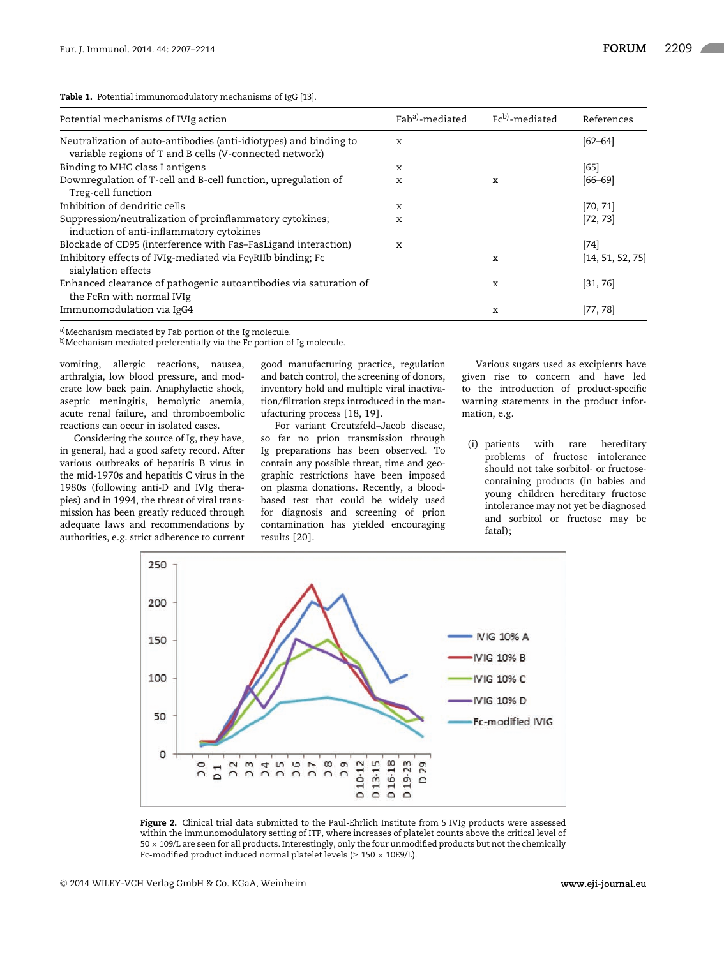**Table 1.** Potential immunomodulatory mechanisms of IgG [13].

| Potential mechanisms of IVIg action                                                                                          | Fab <sup>a</sup> )-mediated | Fcb)-mediated | References       |
|------------------------------------------------------------------------------------------------------------------------------|-----------------------------|---------------|------------------|
| Neutralization of auto-antibodies (anti-idiotypes) and binding to<br>variable regions of T and B cells (V-connected network) | X                           |               | $[62 - 64]$      |
| Binding to MHC class I antigens                                                                                              | х                           |               | [65]             |
| Downregulation of T-cell and B-cell function, upregulation of                                                                | X                           | x             | $[66 - 69]$      |
| Treg-cell function                                                                                                           |                             |               |                  |
| Inhibition of dendritic cells                                                                                                | х                           |               | [70, 71]         |
| Suppression/neutralization of proinflammatory cytokines;                                                                     | х                           |               | [72, 73]         |
| induction of anti-inflammatory cytokines                                                                                     |                             |               |                  |
| Blockade of CD95 (interference with Fas-FasLigand interaction)                                                               | X                           |               | [74]             |
| Inhibitory effects of IVIg-mediated via $Fc\gamma RIB$ binding; Fc<br>sialylation effects                                    |                             | х             | [14, 51, 52, 75] |
| Enhanced clearance of pathogenic autoantibodies via saturation of<br>the FcRn with normal IVIg                               |                             | x             | [31, 76]         |
| Immunomodulation via IgG4                                                                                                    |                             | X             | [77, 78]         |

a) Mechanism mediated by Fab portion of the Ig molecule.

b) Mechanism mediated preferentially via the Fc portion of Ig molecule.

vomiting, allergic reactions, nausea, arthralgia, low blood pressure, and moderate low back pain. Anaphylactic shock, aseptic meningitis, hemolytic anemia, acute renal failure, and thromboembolic reactions can occur in isolated cases.

Considering the source of Ig, they have, in general, had a good safety record. After various outbreaks of hepatitis B virus in the mid-1970s and hepatitis C virus in the 1980s (following anti-D and IVIg therapies) and in 1994, the threat of viral transmission has been greatly reduced through adequate laws and recommendations by authorities, e.g. strict adherence to current good manufacturing practice, regulation and batch control, the screening of donors, inventory hold and multiple viral inactivation/filtration steps introduced in the manufacturing process [18, 19].

For variant Creutzfeld–Jacob disease, so far no prion transmission through Ig preparations has been observed. To contain any possible threat, time and geographic restrictions have been imposed on plasma donations. Recently, a bloodbased test that could be widely used for diagnosis and screening of prion contamination has yielded encouraging results [20].

Various sugars used as excipients have given rise to concern and have led to the introduction of product-specific warning statements in the product information, e.g.

(i) patients with rare hereditary problems of fructose intolerance should not take sorbitol- or fructosecontaining products (in babies and young children hereditary fructose intolerance may not yet be diagnosed and sorbitol or fructose may be fatal);



Figure 2. Clinical trial data submitted to the Paul-Ehrlich Institute from 5 IVIg products were assessed within the immunomodulatory setting of ITP, where increases of platelet counts above the critical level of  $50 \times 109$ /L are seen for all products. Interestingly, only the four unmodified products but not the chemically Fc-modified product induced normal platelet levels ( $\geq 150 \times 10E9/L$ ).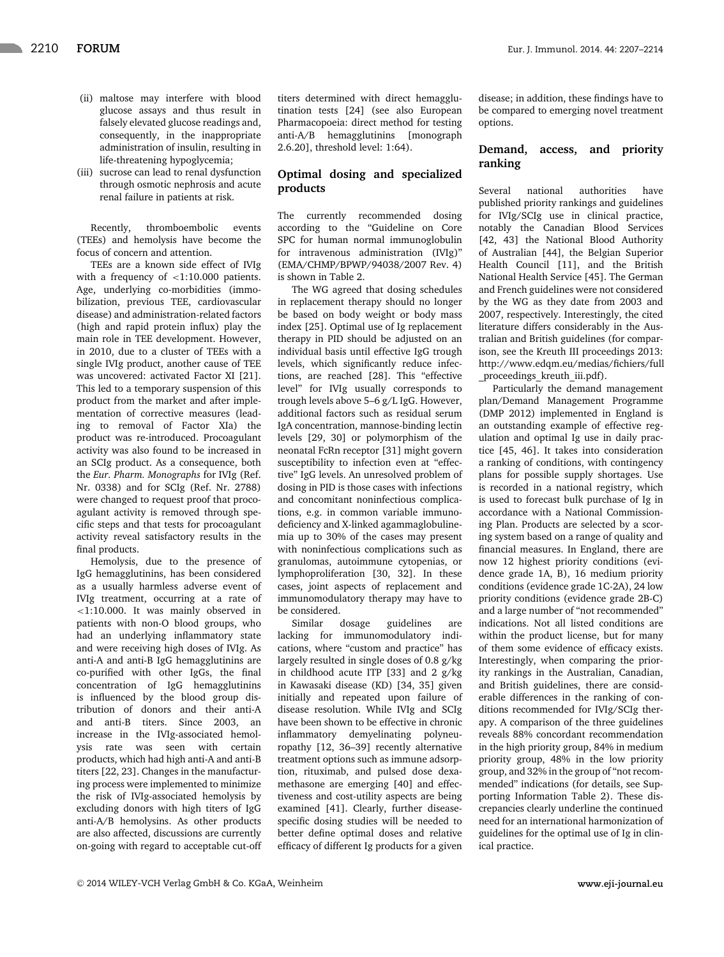- (ii) maltose may interfere with blood glucose assays and thus result in falsely elevated glucose readings and, consequently, in the inappropriate administration of insulin, resulting in life-threatening hypoglycemia;
- (iii) sucrose can lead to renal dysfunction through osmotic nephrosis and acute renal failure in patients at risk.

Recently, thromboembolic events (TEEs) and hemolysis have become the focus of concern and attention.

TEEs are a known side effect of IVIg with a frequency of <1:10.000 patients. Age, underlying co-morbidities (immobilization, previous TEE, cardiovascular disease) and administration-related factors (high and rapid protein influx) play the main role in TEE development. However, in 2010, due to a cluster of TEEs with a single IVIg product, another cause of TEE was uncovered: activated Factor XI [21]. This led to a temporary suspension of this product from the market and after implementation of corrective measures (leading to removal of Factor XIa) the product was re-introduced. Procoagulant activity was also found to be increased in an SCIg product. As a consequence, both the *Eur. Pharm. Monographs* for IVIg (Ref. Nr. 0338) and for SCIg (Ref. Nr. 2788) were changed to request proof that procoagulant activity is removed through specific steps and that tests for procoagulant activity reveal satisfactory results in the final products.

Hemolysis, due to the presence of IgG hemagglutinins, has been considered as a usually harmless adverse event of IVIg treatment, occurring at a rate of <1:10.000. It was mainly observed in patients with non-O blood groups, who had an underlying inflammatory state and were receiving high doses of IVIg. As anti-A and anti-B IgG hemagglutinins are co-purified with other IgGs, the final concentration of IgG hemagglutinins is influenced by the blood group distribution of donors and their anti-A and anti-B titers. Since 2003, an increase in the IVIg-associated hemolysis rate was seen with certain products, which had high anti-A and anti-B titers [22, 23]. Changes in the manufacturing process were implemented to minimize the risk of IVIg-associated hemolysis by excluding donors with high titers of IgG anti-A/B hemolysins. As other products are also affected, discussions are currently on-going with regard to acceptable cut-off titers determined with direct hemagglutination tests [24] (see also European Pharmacopoeia: direct method for testing anti-A/B hemagglutinins [monograph 2.6.20], threshold level: 1:64).

## **Optimal dosing and specialized products**

The currently recommended dosing according to the "Guideline on Core SPC for human normal immunoglobulin for intravenous administration (IVIg)" (EMA/CHMP/BPWP/94038/2007 Rev. 4) is shown in Table 2.

The WG agreed that dosing schedules in replacement therapy should no longer be based on body weight or body mass index [25]. Optimal use of Ig replacement therapy in PID should be adjusted on an individual basis until effective IgG trough levels, which significantly reduce infections, are reached [28]. This "effective level" for IVIg usually corresponds to trough levels above 5–6 g/L IgG. However, additional factors such as residual serum IgA concentration, mannose-binding lectin levels [29, 30] or polymorphism of the neonatal FcRn receptor [31] might govern susceptibility to infection even at "effective" IgG levels. An unresolved problem of dosing in PID is those cases with infections and concomitant noninfectious complications, e.g. in common variable immunodeficiency and X-linked agammaglobulinemia up to 30% of the cases may present with noninfectious complications such as granulomas, autoimmune cytopenias, or lymphoproliferation [30, 32]. In these cases, joint aspects of replacement and immunomodulatory therapy may have to be considered.

Similar dosage guidelines are lacking for immunomodulatory indications, where "custom and practice" has largely resulted in single doses of 0.8 g/kg in childhood acute ITP [33] and 2 g/kg in Kawasaki disease (KD) [34, 35] given initially and repeated upon failure of disease resolution. While IVIg and SCIg have been shown to be effective in chronic inflammatory demyelinating polyneuropathy [12, 36–39] recently alternative treatment options such as immune adsorption, rituximab, and pulsed dose dexamethasone are emerging [40] and effectiveness and cost-utility aspects are being examined [41]. Clearly, further diseasespecific dosing studies will be needed to better define optimal doses and relative efficacy of different Ig products for a given disease; in addition, these findings have to be compared to emerging novel treatment options.

# **Demand, access, and priority ranking**

Several national authorities have published priority rankings and guidelines for IVIg/SCIg use in clinical practice, notably the Canadian Blood Services [42, 43] the National Blood Authority of Australian [44], the Belgian Superior Health Council [11], and the British National Health Service [45]. The German and French guidelines were not considered by the WG as they date from 2003 and 2007, respectively. Interestingly, the cited literature differs considerably in the Australian and British guidelines (for comparison, see the Kreuth III proceedings 2013: http://www.edqm.eu/medias/fichiers/full proceedings kreuth iii.pdf).

Particularly the demand management plan/Demand Management Programme (DMP 2012) implemented in England is an outstanding example of effective regulation and optimal Ig use in daily practice [45, 46]. It takes into consideration a ranking of conditions, with contingency plans for possible supply shortages. Use is recorded in a national registry, which is used to forecast bulk purchase of Ig in accordance with a National Commissioning Plan. Products are selected by a scoring system based on a range of quality and financial measures. In England, there are now 12 highest priority conditions (evidence grade 1A, B), 16 medium priority conditions (evidence grade 1C-2A), 24 low priority conditions (evidence grade 2B-C) and a large number of "not recommended" indications. Not all listed conditions are within the product license, but for many of them some evidence of efficacy exists. Interestingly, when comparing the priority rankings in the Australian, Canadian, and British guidelines, there are considerable differences in the ranking of conditions recommended for IVIg/SCIg therapy. A comparison of the three guidelines reveals 88% concordant recommendation in the high priority group, 84% in medium priority group, 48% in the low priority group, and 32% in the group of "not recommended" indications (for details, see Supporting Information Table 2). These discrepancies clearly underline the continued need for an international harmonization of guidelines for the optimal use of Ig in clinical practice.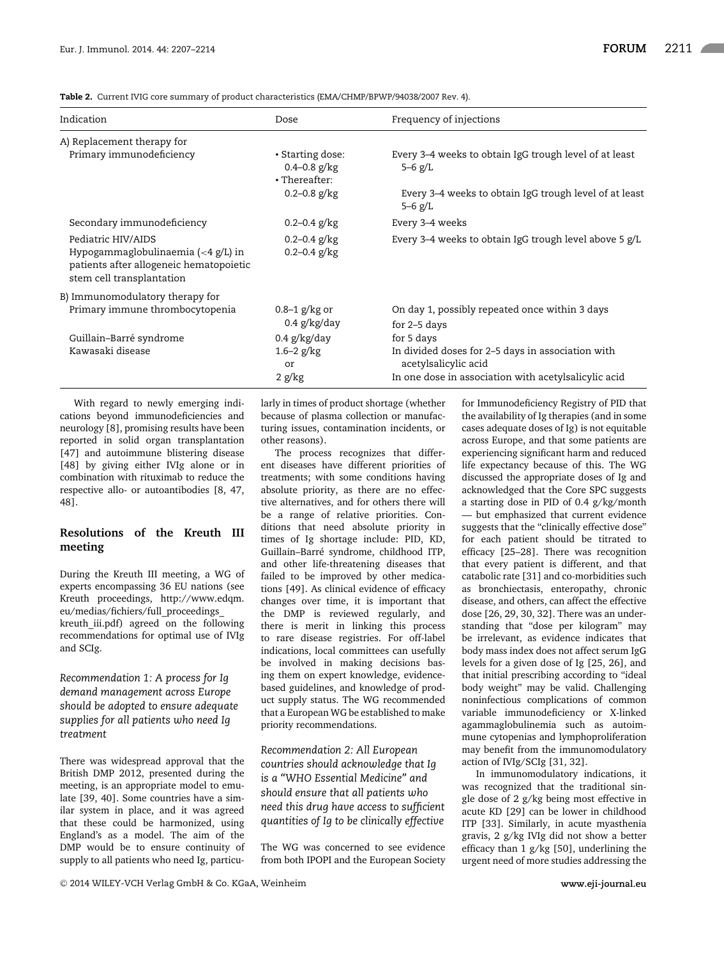**Table 2.** Current IVIG core summary of product characteristics (EMA/CHMP/BPWP/94038/2007 Rev. 4).

| Indication                                                                                                                | Dose                                                  | Frequency of injections                                                   |
|---------------------------------------------------------------------------------------------------------------------------|-------------------------------------------------------|---------------------------------------------------------------------------|
| A) Replacement therapy for                                                                                                |                                                       |                                                                           |
| Primary immunodeficiency                                                                                                  | • Starting dose:<br>$0.4 - 0.8$ g/kg<br>• Thereafter: | Every 3–4 weeks to obtain IgG trough level of at least<br>$5 - 6$ g/L     |
|                                                                                                                           | $0.2 - 0.8$ g/kg                                      | Every 3–4 weeks to obtain IgG trough level of at least<br>$5 - 6$ g/L     |
| Secondary immunodeficiency                                                                                                | $0.2 - 0.4$ g/kg                                      | Every 3–4 weeks                                                           |
| Pediatric HIV/AIDS<br>Hypogammaglobulinaemia $(4 g/L) inpatients after allogeneic hematopoieticstem cell transplantation$ | $0.2 - 0.4$ g/kg<br>$0.2 - 0.4$ g/kg                  | Every 3–4 weeks to obtain IgG trough level above 5 g/L                    |
| B) Immunomodulatory therapy for                                                                                           |                                                       |                                                                           |
| Primary immune thrombocytopenia                                                                                           | $0.8-1$ g/kg or<br>$0.4$ g/kg/day                     | On day 1, possibly repeated once within 3 days<br>for 2-5 days            |
| Guillain-Barré syndrome                                                                                                   | $0.4$ g/kg/day                                        | for 5 days                                                                |
| Kawasaki disease                                                                                                          | $1.6 - 2$ g/kg<br>or                                  | In divided doses for 2–5 days in association with<br>acetylsalicylic acid |
|                                                                                                                           | 2 g/kg                                                | In one dose in association with acetylsalicylic acid                      |

With regard to newly emerging indications beyond immunodeficiencies and neurology [8], promising results have been reported in solid organ transplantation [47] and autoimmune blistering disease [48] by giving either IVIg alone or in combination with rituximab to reduce the respective allo- or autoantibodies [8, 47, 48].

# **Resolutions of the Kreuth III meeting**

During the Kreuth III meeting, a WG of experts encompassing 36 EU nations (see Kreuth proceedings, http://www.edqm. eu/medias/fichiers/full\_proceedings\_ kreuth\_iii.pdf) agreed on the following recommendations for optimal use of IVIg and SCIg.

*Recommendation 1: A process for Ig demand management across Europe should be adopted to ensure adequate supplies for all patients who need Ig treatment*

There was widespread approval that the British DMP 2012, presented during the meeting, is an appropriate model to emulate [39, 40]. Some countries have a similar system in place, and it was agreed that these could be harmonized, using England's as a model. The aim of the DMP would be to ensure continuity of supply to all patients who need Ig, particularly in times of product shortage (whether because of plasma collection or manufacturing issues, contamination incidents, or other reasons).

The process recognizes that different diseases have different priorities of treatments; with some conditions having absolute priority, as there are no effective alternatives, and for others there will be a range of relative priorities. Conditions that need absolute priority in times of Ig shortage include: PID, KD, Guillain-Barré syndrome, childhood ITP, and other life-threatening diseases that failed to be improved by other medications [49]. As clinical evidence of efficacy changes over time, it is important that the DMP is reviewed regularly, and there is merit in linking this process to rare disease registries. For off-label indications, local committees can usefully be involved in making decisions basing them on expert knowledge, evidencebased guidelines, and knowledge of product supply status. The WG recommended that a European WG be established to make priority recommendations.

*Recommendation 2: All European countries should acknowledge that Ig is a "WHO Essential Medicine" and should ensure that all patients who need this drug have access to sufficient quantities of Ig to be clinically effective*

The WG was concerned to see evidence from both IPOPI and the European Society

for Immunodeficiency Registry of PID that the availability of Ig therapies (and in some cases adequate doses of Ig) is not equitable across Europe, and that some patients are experiencing significant harm and reduced life expectancy because of this. The WG discussed the appropriate doses of Ig and acknowledged that the Core SPC suggests a starting dose in PID of 0.4 g/kg/month — but emphasized that current evidence suggests that the "clinically effective dose" for each patient should be titrated to efficacy [25–28]. There was recognition that every patient is different, and that catabolic rate [31] and co-morbidities such as bronchiectasis, enteropathy, chronic disease, and others, can affect the effective dose [26, 29, 30, 32]. There was an understanding that "dose per kilogram" may be irrelevant, as evidence indicates that body mass index does not affect serum IgG levels for a given dose of Ig [25, 26], and that initial prescribing according to "ideal body weight" may be valid. Challenging noninfectious complications of common variable immunodeficiency or X-linked agammaglobulinemia such as autoimmune cytopenias and lymphoproliferation may benefit from the immunomodulatory action of IVIg/SCIg [31, 32].

In immunomodulatory indications, it was recognized that the traditional single dose of 2 g/kg being most effective in acute KD [29] can be lower in childhood ITP [33]. Similarly, in acute myasthenia gravis, 2 g/kg IVIg did not show a better efficacy than 1 g/kg [50], underlining the urgent need of more studies addressing the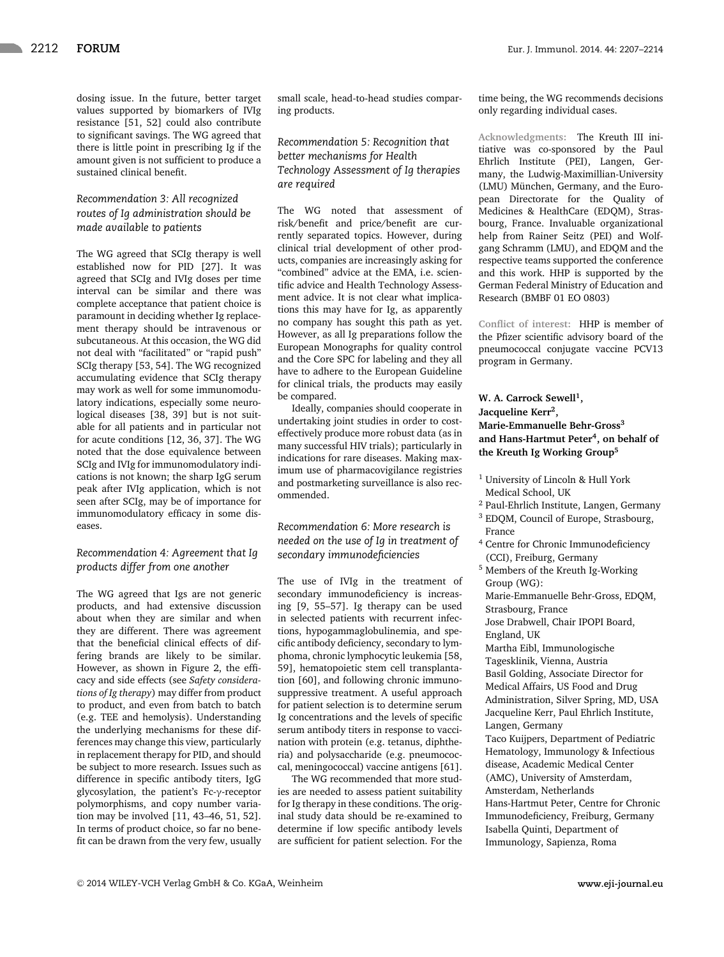dosing issue. In the future, better target values supported by biomarkers of IVIg resistance [51, 52] could also contribute to significant savings. The WG agreed that there is little point in prescribing Ig if the amount given is not sufficient to produce a sustained clinical benefit.

# *Recommendation 3: All recognized routes of Ig administration should be made available to patients*

The WG agreed that SCIg therapy is well established now for PID [27]. It was agreed that SCIg and IVIg doses per time interval can be similar and there was complete acceptance that patient choice is paramount in deciding whether Ig replacement therapy should be intravenous or subcutaneous. At this occasion, the WG did not deal with "facilitated" or "rapid push" SCIg therapy [53, 54]. The WG recognized accumulating evidence that SCIg therapy may work as well for some immunomodulatory indications, especially some neurological diseases [38, 39] but is not suitable for all patients and in particular not for acute conditions [12, 36, 37]. The WG noted that the dose equivalence between SCIg and IVIg for immunomodulatory indications is not known; the sharp IgG serum peak after IVIg application, which is not seen after SCIg, may be of importance for immunomodulatory efficacy in some diseases.

#### *Recommendation 4: Agreement that Ig products differ from one another*

The WG agreed that Igs are not generic products, and had extensive discussion about when they are similar and when they are different. There was agreement that the beneficial clinical effects of differing brands are likely to be similar. However, as shown in Figure 2, the efficacy and side effects (see *Safety considerations of Ig therapy*) may differ from product to product, and even from batch to batch (e.g. TEE and hemolysis). Understanding the underlying mechanisms for these differences may change this view, particularly in replacement therapy for PID, and should be subject to more research. Issues such as difference in specific antibody titers, IgG glycosylation, the patient's Fc-γ-receptor polymorphisms, and copy number variation may be involved [11, 43–46, 51, 52]. In terms of product choice, so far no benefit can be drawn from the very few, usually small scale, head-to-head studies comparing products.

*Recommendation 5: Recognition that better mechanisms for Health Technology Assessment of Ig therapies are required*

The WG noted that assessment of risk/benefit and price/benefit are currently separated topics. However, during clinical trial development of other products, companies are increasingly asking for "combined" advice at the EMA, i.e. scientific advice and Health Technology Assessment advice. It is not clear what implications this may have for Ig, as apparently no company has sought this path as yet. However, as all Ig preparations follow the European Monographs for quality control and the Core SPC for labeling and they all have to adhere to the European Guideline for clinical trials, the products may easily be compared.

Ideally, companies should cooperate in undertaking joint studies in order to costeffectively produce more robust data (as in many successful HIV trials); particularly in indications for rare diseases. Making maximum use of pharmacovigilance registries and postmarketing surveillance is also recommended.

#### *Recommendation 6: More research is needed on the use of Ig in treatment of secondary immunodeficiencies*

The use of IVIg in the treatment of secondary immunodeficiency is increasing [9, 55–57]. Ig therapy can be used in selected patients with recurrent infections, hypogammaglobulinemia, and specific antibody deficiency, secondary to lymphoma, chronic lymphocytic leukemia [58, 59], hematopoietic stem cell transplantation [60], and following chronic immunosuppressive treatment. A useful approach for patient selection is to determine serum Ig concentrations and the levels of specific serum antibody titers in response to vaccination with protein (e.g. tetanus, diphtheria) and polysaccharide (e.g. pneumococcal, meningococcal) vaccine antigens [61].

The WG recommended that more studies are needed to assess patient suitability for Ig therapy in these conditions. The original study data should be re-examined to determine if low specific antibody levels are sufficient for patient selection. For the time being, the WG recommends decisions only regarding individual cases.

**Acknowledgments:** The Kreuth III initiative was co-sponsored by the Paul Ehrlich Institute (PEI), Langen, Germany, the Ludwig-Maximillian-University (LMU) München, Germany, and the European Directorate for the Quality of Medicines & HealthCare (EDQM), Strasbourg, France. Invaluable organizational help from Rainer Seitz (PEI) and Wolfgang Schramm (LMU), and EDQM and the respective teams supported the conference and this work. HHP is supported by the German Federal Ministry of Education and Research (BMBF 01 EO 0803)

**Conflict of interest:** HHP is member of the Pfizer scientific advisory board of the pneumococcal conjugate vaccine PCV13 program in Germany.

## W. A. Carrock Sewell<sup>1</sup>, **Jacqueline Kerr2, Marie-Emmanuelle Behr-Gross3 and Hans-Hartmut Peter4, on behalf of the Kreuth Ig Working Group5**

<sup>1</sup> University of Lincoln & Hull York Medical School, UK

- <sup>2</sup> Paul-Ehrlich Institute, Langen, Germany <sup>3</sup> EDQM, Council of Europe, Strasbourg, France
- <sup>4</sup> Centre for Chronic Immunodeficiency (CCI), Freiburg, Germany
- <sup>5</sup> Members of the Kreuth Ig-Working Group (WG):

Marie-Emmanuelle Behr-Gross, EDQM, Strasbourg, France

Jose Drabwell, Chair IPOPI Board, England, UK

Martha Eibl, Immunologische Tagesklinik, Vienna, Austria Basil Golding, Associate Director for Medical Affairs, US Food and Drug Administration, Silver Spring, MD, USA Jacqueline Kerr, Paul Ehrlich Institute, Langen, Germany

Taco Kuijpers, Department of Pediatric Hematology, Immunology & Infectious disease, Academic Medical Center (AMC), University of Amsterdam, Amsterdam, Netherlands

Hans-Hartmut Peter, Centre for Chronic Immunodeficiency, Freiburg, Germany Isabella Quinti, Department of Immunology, Sapienza, Roma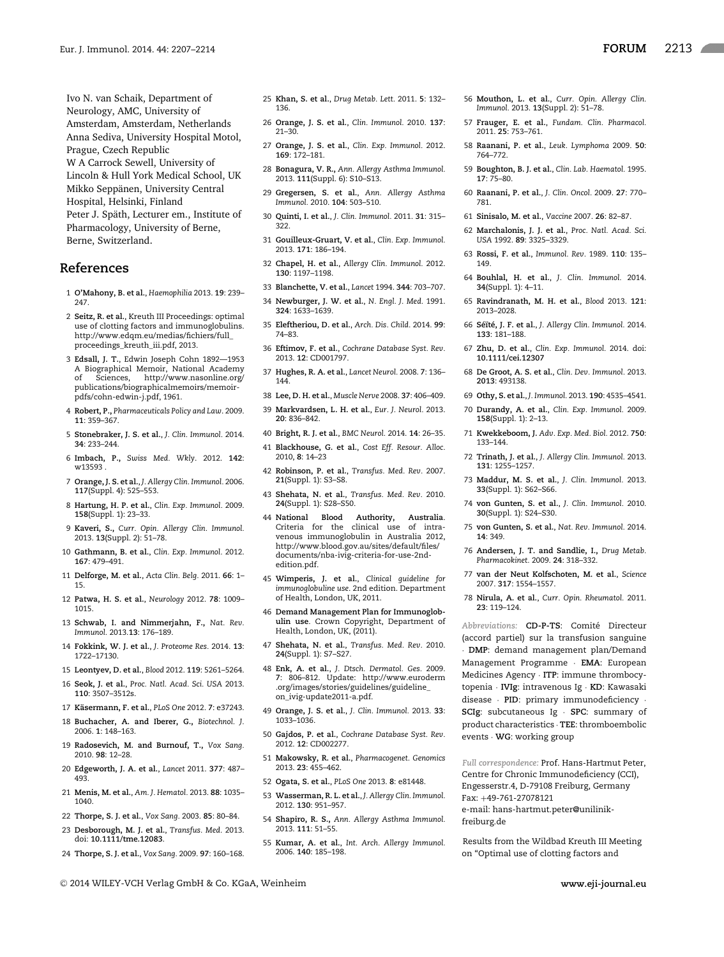Ivo N. van Schaik, Department of Neurology, AMC, University of Amsterdam, Amsterdam, Netherlands Anna Sediva, University Hospital Motol,

Prague, Czech Republic

W A Carrock Sewell, University of

Lincoln & Hull York Medical School, UK Mikko Seppänen, University Central Hospital, Helsinki, Finland

Peter J. Späth, Lecturer em., Institute of Pharmacology, University of Berne, Berne, Switzerland.

## **References**

- 1 **O'Mahony, B. et al.**, *Haemophilia* 2013. **19**: 239– 247.
- 2 **Seitz, R. et al.**, Kreuth III Proceedings: optimal use of clotting factors and immunoglobulins. http://www.edqm.eu/medias/fichiers/full\_ proceedings\_kreuth\_iii.pdf, 2013.
- 3 **Edsall, J. T.**, Edwin Joseph Cohn 1892—1953 A Biographical Memoir, National Academy of Sciences, http://www.nasonline.org/ publications/biographicalmemoirs/memoirpdfs/cohn-edwin-j.pdf, 1961.
- 4 **Robert, P.,** *Pharmaceuticals Policy and Law*. 2009. **11**: 359–367.
- 5 **Stonebraker, J. S. et al.**, *J. Clin. Immunol.* 2014. **34**: 233–244.
- 6 **Imbach, P.,** *Swiss Med. Wkly*. 2012. **142**: w13593 .
- 7 **Orange, J. S. et al.**, *J. Allergy Clin. Immunol.* 2006. **117**(Suppl. 4): 525–553.
- 8 **Hartung, H. P. et al.**, *Clin. Exp. Immunol.* 2009. **158**(Suppl. 1): 23–33.
- 9 **Kaveri, S.,** *Curr. Opin. Allergy Clin. Immunol.* 2013. **13**(Suppl. 2): 51–78.
- 10 **Gathmann, B. et al.**, *Clin. Exp. Immunol.* 2012. **167**: 479–491.
- 11 **Delforge, M. et al.**, *Acta Clin. Belg.* 2011. **66**: 1– 15.
- 12 **Patwa, H. S. et al.**, *Neurology* 2012. **78**: 1009– 1015.
- 13 **Schwab, I. and Nimmerjahn, F.,** *Nat. Rev. Immunol.* 2013.**13**: 176–189.
- 14 **Fokkink, W. J. et al.**, *J. Proteome Res.* 2014. **13**: 1722–17130.
- 15 **Leontyev, D. et al.**, *Blood* 2012. **119**: 5261–5264.
- 16 **Seok, J. et al.**, *Proc. Natl. Acad. Sci. USA* 2013. **110**: 3507–3512s.
- 17 **K ¨asermann, F. et al.**, *PLoS One* 2012. **7**: e37243.
- 18 **Buchacher, A. and Iberer, G.,** *Biotechnol. J.* 2006. **1**: 148–163.
- 19 **Radosevich, M. and Burnouf, T.,** *Vox Sang.* 2010. **98**: 12–28.
- 20 **Edgeworth, J. A. et al.**, *Lancet* 2011. **377**: 487– 493.
- 21 **Menis, M. et al.**, *Am. J. Hematol.* 2013. **88**: 1035– 1040.
- 22 **Thorpe, S. J. et al.**, *Vox Sang.* 2003. **85**: 80–84.
- 23 **Desborough, M. J. et al.**, *Transfus. Med.* 2013. doi: **10.1111/tme.12083**.
- 24 **Thorpe, S. J. et al.**, *Vox Sang.* 2009. **97**: 160–168.
- 25 **Khan, S. et al.**, *Drug Metab. Lett.* 2011. **5**: 132– 136.
- 26 **Orange, J. S. et al.**, *Clin. Immunol.* 2010. **137**: 21–30.
- 27 **Orange, J. S. et al.**, *Clin. Exp. Immunol.* 2012. **169**: 172–181.
- 28 **Bonagura, V. R.,** *Ann. Allergy Asthma Immunol.* 2013. **111**(Suppl. 6): S10–S13.
- 29 **Gregersen, S. et al.**, *Ann. Allergy Asthma Immunol.* 2010. **104**: 503–510.
- 30 **Quinti, I. et al.**, *J. Clin. Immunol.* 2011. **31**: 315– 322.
- 31 **Gouilleux-Gruart, V. et al.**, *Clin. Exp. Immunol.* 2013. **171**: 186–194.
- 32 **Chapel, H. et al.**, *Allergy Clin. Immunol.* 2012. **130**: 1197–1198.
- 33 **Blanchette, V. et al.**, *Lancet* 1994. **344**: 703–707.
- 34 **Newburger, J. W. et al.**, *N. Engl. J. Med.* 1991. **324**: 1633–1639.
- 35 **Eleftheriou, D. et al.**, *Arch. Dis. Child.* 2014. **99**: 74–83.
- 36 **Eftimov, F. et al.**, *Cochrane Database Syst. Rev.* 2013. **12**: CD001797.
- 37 **Hughes, R. A. et al.**, *Lancet Neurol.* 2008. **7**: 136– 144.
- 38 **Lee, D. H. et al.**, *Muscle Nerve* 2008. **37**: 406–409. 39 **Markvardsen, L. H. et al.**, *Eur. J. Neurol.* 2013. **20**: 836–842.
- 40 **Bright, R. J. et al.**, *BMC Neurol.* 2014. **14**: 26–35.
- 41 **Blackhouse, G. et al.**, *Cost Eff. Resour. Alloc.* 2010, **8**: 14–23
- 42 **Robinson, P. et al.**, *Transfus. Med. Rev.* 2007. **21**(Suppl. 1): S3–S8.
- 43 **Shehata, N. et al.**, *Transfus. Med. Rev.* 2010. **24**(Suppl. 1): S28–S50.
- 44 **National Blood Authority, Australia**. Criteria for the clinical use of intravenous immunoglobulin in Australia 2012, http://www.blood.gov.au/sites/default/files/ documents/nba-ivig-criteria-for-use-2ndedition.pdf.
- 45 **Wimperis, J. et al.**, *Clinical guideline for immunoglobuline use*. 2nd edition. Department of Health, London, UK, 2011.
- 46 **Demand Management Plan for Immunoglobulin use**. Crown Copyright, Department of Health, London, UK, (2011).
- 47 **Shehata, N. et al.**, *Transfus. Med. Rev.* 2010. **24**(Suppl. 1): S7–S27.
- 48 **Enk, A. et al.**, *J. Dtsch. Dermatol. Ges.* 2009. **7**: 806–812. Update: http://www.euroderm .org/images/stories/guidelines/guideline\_ on\_ivig-update2011-a.pdf.
- 49 **Orange, J. S. et al.**, *J. Clin. Immunol.* 2013. **33**: 1033–1036.
- 50 **Gajdos, P. et al.**, *Cochrane Database Syst. Rev.* 2012. **12**: CD002277.
- 51 **Makowsky, R. et al.**, *Pharmacogenet. Genomics* 2013. **23**: 455–462.
- 52 **Ogata, S. et al.**, *PLoS One* 2013. **8**: e81448.
- 53 **Wasserman, R. L. et al.**, *J. Allergy Clin. Immunol.* 2012. **130**: 951–957.
- 54 **Shapiro, R. S.,** *Ann. Allergy Asthma Immunol.* 2013. **111**: 51–55.
- 55 **Kumar, A. et al.**, *Int. Arch. Allergy Immunol.* 2006. **140**: 185–198.
- 56 **Mouthon, L. et al.**, *Curr. Opin. Allergy Clin. Immunol.* 2013. **13**(Suppl. 2): 51–78.
- 57 **Frauger, E. et al.**, *Fundam. Clin. Pharmacol.* 2011. **25**: 753–761.
- 58 **Raanani, P. et al.**, *Leuk. Lymphoma* 2009. **50**: 764–772.
- 59 **Boughton, B. J. et al.**, *Clin. Lab. Haematol.* 1995. **17**: 75–80.
- 60 **Raanani, P. et al.**, *J. Clin. Oncol.* 2009. **27**: 770– 781.
- 61 **Sinisalo, M. et al.**, *Vaccine* 2007. **26**: 82–87.
- 62 **Marchalonis, J. J. et al.**, *Proc. Natl. Acad. Sci. USA* 1992. **89**: 3325–3329.
- 63 **Rossi, F. et al.**, *Immunol. Rev.* 1989. **110**: 135– 149.
- 64 **Bouhlal, H. et al.**, *J. Clin. Immunol.* 2014. **34**(Suppl. 1): 4–11.
- 65 **Ravindranath, M. H. et al.**, *Blood* 2013. **121**: 2013–2028.
- 66 **S ´e¨ıt´e, J. F. et al.**, *J. Allergy Clin. Immunol.* 2014. **133**: 181–188.
- 67 **Zhu, D. et al.**, *Clin. Exp. Immunol.* 2014. doi: **10.1111/cei.12307**
- 68 **De Groot, A. S. et al.**, *Clin. Dev. Immunol.* 2013. **2013**: 493138.
- 69 **Othy, S. et al.**, *J. Immunol.* 2013. **190**: 4535–4541.
- 70 **Durandy, A. et al.**, *Clin. Exp. Immunol.* 2009. **158**(Suppl. 1): 2–13.
- 71 **Kwekkeboom, J.** *Adv. Exp. Med. Biol.* 2012. **750**: 133–144.
- 72 **Trinath, J. et al.**, *J. Allergy Clin. Immunol.* 2013. **131**: 1255–1257.
- 73 **Maddur, M. S. et al.**, *J. Clin. Immunol.* 2013. **33**(Suppl. 1): S62–S66.
- 74 **von Gunten, S. et al.**, *J. Clin. Immunol.* 2010. **30**(Suppl. 1): S24–S30.
- 75 **von Gunten, S. et al.**, *Nat. Rev. Immunol.* 2014. **14**: 349.
- 76 **Andersen, J. T. and Sandlie, I.,** *Drug Metab. Pharmacokinet.* 2009. **24**: 318–332.
- 77 **van der Neut Kolfschoten, M. et al.**, *Science* 2007. **317**: 1554–1557.
- 78 **Nirula, A. et al.**, *Curr. Opin. Rheumatol.* 2011. **23**: 119–124.

*Abbreviations:* **CD-P-TS**: Comite Directeur ´ (accord partiel) sur la transfusion sanguine · **DMP**: demand management plan/Demand Management Programme · **EMA**: European Medicines Agency · **ITP**: immune thrombocytopenia · **IVIg**: intravenous Ig · **KD**: Kawasaki disease · **PID**: primary immunodeficiency · **SCIg**: subcutaneous Ig · **SPC**: summary of product characteristics · **TEE**: thromboembolic events · **WG**: working group

*Full correspondence:* Prof. Hans-Hartmut Peter, Centre for Chronic Immunodeficiency (CCI), Engesserstr.4, D-79108 Freiburg, Germany Fax: +49-761-27078121 e-mail: hans-hartmut.peter@unilinik-

freiburg.de

Results from the Wildbad Kreuth III Meeting on "Optimal use of clotting factors and

-<sup>C</sup> 2014 WILEY-VCH Verlag GmbH & Co. KGaA, Weinheim **www.eji-journal.eu**